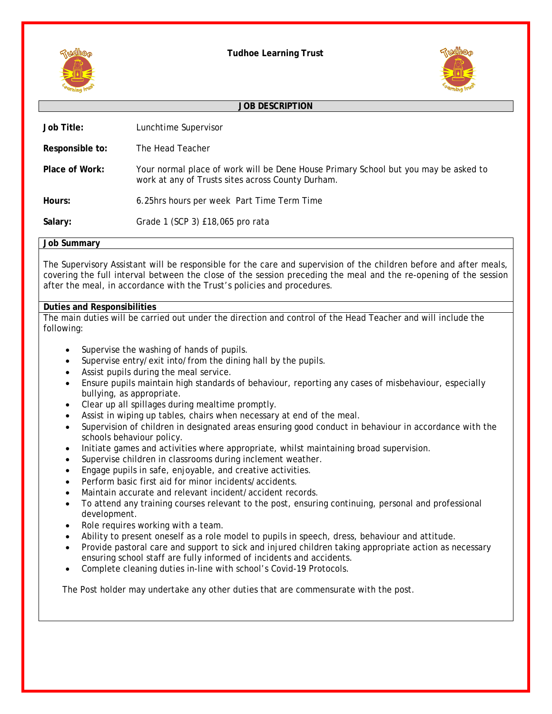**Tudhoe Learning Trust**





## **JOB DESCRIPTION**

| Job Title:                                                                                                                                                                                                                                                                                                        | Lunchtime Supervisor                                                                                                                                                          |  |  |  |
|-------------------------------------------------------------------------------------------------------------------------------------------------------------------------------------------------------------------------------------------------------------------------------------------------------------------|-------------------------------------------------------------------------------------------------------------------------------------------------------------------------------|--|--|--|
| Responsible to:                                                                                                                                                                                                                                                                                                   | The Head Teacher                                                                                                                                                              |  |  |  |
| Place of Work:                                                                                                                                                                                                                                                                                                    | Your normal place of work will be Dene House Primary School but you may be asked to<br>work at any of Trusts sites across County Durham.                                      |  |  |  |
| Hours:                                                                                                                                                                                                                                                                                                            | 6.25hrs hours per week Part Time Term Time                                                                                                                                    |  |  |  |
| Salary:                                                                                                                                                                                                                                                                                                           | Grade 1 (SCP 3) £18,065 pro rata                                                                                                                                              |  |  |  |
| Job Summary                                                                                                                                                                                                                                                                                                       |                                                                                                                                                                               |  |  |  |
| The Supervisory Assistant will be responsible for the care and supervision of the children before and after meals,<br>covering the full interval between the close of the session preceding the meal and the re-opening of the session<br>after the meal, in accordance with the Trust's policies and procedures. |                                                                                                                                                                               |  |  |  |
| <b>Duties and Responsibilities</b>                                                                                                                                                                                                                                                                                |                                                                                                                                                                               |  |  |  |
| The main duties will be carried out under the direction and control of the Head Teacher and will include the<br>following:<br>Supervise the washing of hands of pupils.<br>$\bullet$<br>Supervise entry/exit into/from the dining hall by the pupils.<br>$\bullet$                                                |                                                                                                                                                                               |  |  |  |
| Assist pupils during the meal service.<br>$\bullet$<br>Ensure pupils maintain high standards of behaviour, reporting any cases of misbehaviour, especially<br>$\bullet$<br>bullying, as appropriate.                                                                                                              |                                                                                                                                                                               |  |  |  |
| ٠                                                                                                                                                                                                                                                                                                                 | Clear up all spillages during mealtime promptly.                                                                                                                              |  |  |  |
| Assist in wiping up tables, chairs when necessary at end of the meal.<br>٠                                                                                                                                                                                                                                        |                                                                                                                                                                               |  |  |  |
| Supervision of children in designated areas ensuring good conduct in behaviour in accordance with the<br>$\bullet$<br>schools behaviour policy.                                                                                                                                                                   |                                                                                                                                                                               |  |  |  |
| Initiate games and activities where appropriate, whilst maintaining broad supervision.<br>٠                                                                                                                                                                                                                       |                                                                                                                                                                               |  |  |  |
| Supervise children in classrooms during inclement weather.<br>$\bullet$                                                                                                                                                                                                                                           |                                                                                                                                                                               |  |  |  |
| Engage pupils in safe, enjoyable, and creative activities.                                                                                                                                                                                                                                                        |                                                                                                                                                                               |  |  |  |
|                                                                                                                                                                                                                                                                                                                   | Perform basic first aid for minor incidents/accidents.                                                                                                                        |  |  |  |
|                                                                                                                                                                                                                                                                                                                   | Maintain accurate and relevant incident/accident records.                                                                                                                     |  |  |  |
| development.                                                                                                                                                                                                                                                                                                      | To attend any training courses relevant to the post, ensuring continuing, personal and professional                                                                           |  |  |  |
| $\bullet$                                                                                                                                                                                                                                                                                                         | Role requires working with a team.                                                                                                                                            |  |  |  |
|                                                                                                                                                                                                                                                                                                                   | Ability to present oneself as a role model to pupils in speech, dress, behaviour and attitude.                                                                                |  |  |  |
| $\bullet$                                                                                                                                                                                                                                                                                                         | Provide pastoral care and support to sick and injured children taking appropriate action as necessary<br>ensuring school staff are fully informed of incidents and accidents. |  |  |  |
| $\bullet$                                                                                                                                                                                                                                                                                                         | Complete cleaning duties in-line with school's Covid-19 Protocols.                                                                                                            |  |  |  |
|                                                                                                                                                                                                                                                                                                                   | The Post holder may undertake any other duties that are commensurate with the post.                                                                                           |  |  |  |